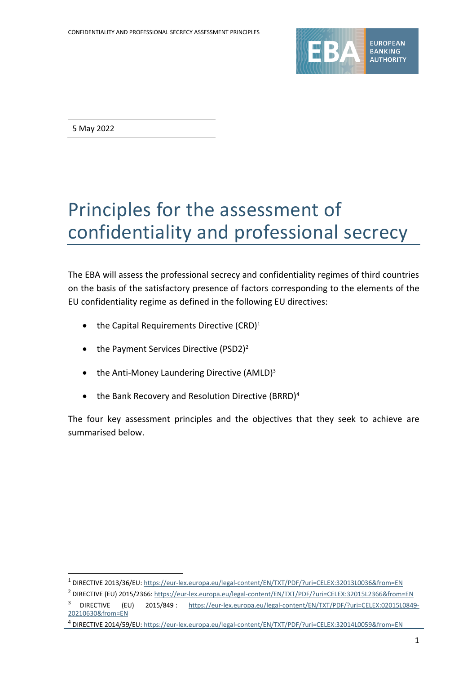

5 May 2022

# Principles for the assessment of confidentiality and professional secrecy

The EBA will assess the professional secrecy and confidentiality regimes of third countries on the basis of the satisfactory presence of factors corresponding to the elements of the EU confidentiality regime as defined in the following EU directives:

- the Capital Requirements Directive  $(CRD)^1$
- the Payment Services Directive (PSD2)<sup>2</sup>
- $\bullet$  the Anti-Money Laundering Directive (AMLD)<sup>3</sup>
- the Bank Recovery and Resolution Directive (BRRD)<sup>4</sup>

The four key assessment principles and the objectives that they seek to achieve are summarised below.

<sup>1</sup> DIRECTIVE 2013/36/EU[: https://eur-lex.europa.eu/legal-content/EN/TXT/PDF/?uri=CELEX:32013L0036&from=EN](https://eur-lex.europa.eu/legal-content/EN/TXT/PDF/?uri=CELEX:32013L0036&from=EN)

<sup>2</sup> DIRECTIVE (EU) 2015/2366:<https://eur-lex.europa.eu/legal-content/EN/TXT/PDF/?uri=CELEX:32015L2366&from=EN>

<sup>3</sup> DIRECTIVE (EU) 2015/849 : [https://eur-lex.europa.eu/legal-content/EN/TXT/PDF/?uri=CELEX:02015L0849-](https://eur-lex.europa.eu/legal-content/EN/TXT/PDF/?uri=CELEX:02015L0849-20210630&from=EN) [20210630&from=EN](https://eur-lex.europa.eu/legal-content/EN/TXT/PDF/?uri=CELEX:02015L0849-20210630&from=EN)

<sup>4</sup> DIRECTIVE 2014/59/EU[: https://eur-lex.europa.eu/legal-content/EN/TXT/PDF/?uri=CELEX:32014L0059&from=EN](https://eur-lex.europa.eu/legal-content/EN/TXT/PDF/?uri=CELEX:32014L0059&from=EN)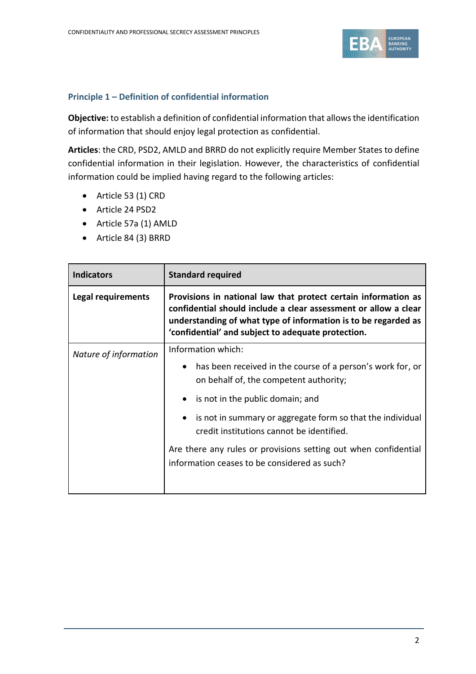

# **Principle 1 – Definition of confidential information**

**Objective:** to establish a definition of confidential information that allowsthe identification of information that should enjoy legal protection as confidential.

**Articles**: the CRD, PSD2, AMLD and BRRD do not explicitly require Member States to define confidential information in their legislation. However, the characteristics of confidential information could be implied having regard to the following articles:

- Article 53 (1) CRD
- Article 24 PSD2
- Article 57a (1) AMLD
- Article 84 (3) BRRD

| <b>Standard required</b>                                                                                                                                                                                                                                  |  |
|-----------------------------------------------------------------------------------------------------------------------------------------------------------------------------------------------------------------------------------------------------------|--|
| Provisions in national law that protect certain information as<br>confidential should include a clear assessment or allow a clear<br>understanding of what type of information is to be regarded as<br>'confidential' and subject to adequate protection. |  |
| Information which:                                                                                                                                                                                                                                        |  |
| has been received in the course of a person's work for, or<br>$\bullet$<br>on behalf of, the competent authority;                                                                                                                                         |  |
| is not in the public domain; and                                                                                                                                                                                                                          |  |
| is not in summary or aggregate form so that the individual<br>$\bullet$<br>credit institutions cannot be identified.                                                                                                                                      |  |
| Are there any rules or provisions setting out when confidential<br>information ceases to be considered as such?                                                                                                                                           |  |
|                                                                                                                                                                                                                                                           |  |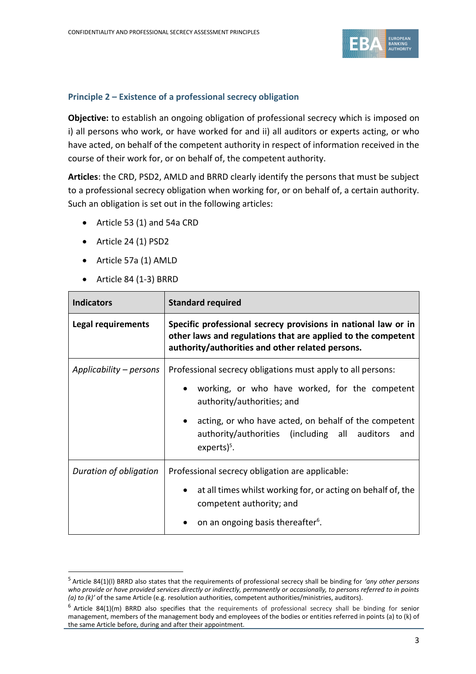

# **Principle 2 – Existence of a professional secrecy obligation**

**Objective:** to establish an ongoing obligation of professional secrecy which is imposed on i) all persons who work, or have worked for and ii) all auditors or experts acting, or who have acted, on behalf of the competent authority in respect of information received in the course of their work for, or on behalf of, the competent authority.

**Articles**: the CRD, PSD2, AMLD and BRRD clearly identify the persons that must be subject to a professional secrecy obligation when working for, or on behalf of, a certain authority. Such an obligation is set out in the following articles:

- Article 53 (1) and 54a CRD
- Article 24 (1) PSD2
- Article 57a (1) AMLD
- Article 84 (1-3) BRRD

| <b>Indicators</b>       | <b>Standard required</b>                                                                                                                                                           |  |
|-------------------------|------------------------------------------------------------------------------------------------------------------------------------------------------------------------------------|--|
| Legal requirements      | Specific professional secrecy provisions in national law or in<br>other laws and regulations that are applied to the competent<br>authority/authorities and other related persons. |  |
| Applicability – persons | Professional secrecy obligations must apply to all persons:                                                                                                                        |  |
|                         | working, or who have worked, for the competent<br>authority/authorities; and                                                                                                       |  |
|                         | acting, or who have acted, on behalf of the competent<br>authority/authorities (including all auditors and<br>experts $)^5$ .                                                      |  |
| Duration of obligation  | Professional secrecy obligation are applicable:                                                                                                                                    |  |
|                         | at all times whilst working for, or acting on behalf of, the<br>competent authority; and                                                                                           |  |
|                         | on an ongoing basis thereafter <sup>6</sup> .                                                                                                                                      |  |

<sup>5</sup> Article 84(1)(l) BRRD also states that the requirements of professional secrecy shall be binding for *'any other persons who provide or have provided services directly or indirectly, permanently or occasionally, to persons referred to in points (a) to (k)'* of the same Article (e.g. resolution authorities, competent authorities/ministries, auditors).

 $6$  Article 84(1)(m) BRRD also specifies that the requirements of professional secrecy shall be binding for senior management, members of the management body and employees of the bodies or entities referred in points (a) to (k) of the same Article before, during and after their appointment.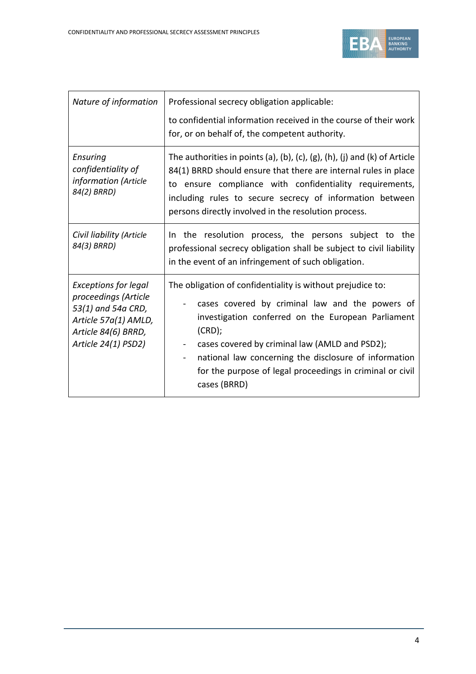

| Nature of information                                                                                                                           | Professional secrecy obligation applicable:                                                                                                                                                                                                                                                                                                                                                                  |
|-------------------------------------------------------------------------------------------------------------------------------------------------|--------------------------------------------------------------------------------------------------------------------------------------------------------------------------------------------------------------------------------------------------------------------------------------------------------------------------------------------------------------------------------------------------------------|
|                                                                                                                                                 | to confidential information received in the course of their work<br>for, or on behalf of, the competent authority.                                                                                                                                                                                                                                                                                           |
| Ensuring<br>confidentiality of<br>information (Article<br>84(2) BRRD)                                                                           | The authorities in points (a), (b), (c), (g), (h), (j) and (k) of Article<br>84(1) BRRD should ensure that there are internal rules in place<br>to ensure compliance with confidentiality requirements,<br>including rules to secure secrecy of information between<br>persons directly involved in the resolution process.                                                                                  |
| Civil liability (Article<br>84(3) BRRD)                                                                                                         | the resolution process, the persons subject to the<br>In.<br>professional secrecy obligation shall be subject to civil liability<br>in the event of an infringement of such obligation.                                                                                                                                                                                                                      |
| <b>Exceptions for legal</b><br>proceedings (Article<br>53(1) and 54a CRD,<br>Article 57a(1) AMLD,<br>Article 84(6) BRRD,<br>Article 24(1) PSD2) | The obligation of confidentiality is without prejudice to:<br>cases covered by criminal law and the powers of<br>investigation conferred on the European Parliament<br>$(CRD)$ ;<br>cases covered by criminal law (AMLD and PSD2);<br>$\blacksquare$<br>national law concerning the disclosure of information<br>$\blacksquare$<br>for the purpose of legal proceedings in criminal or civil<br>cases (BRRD) |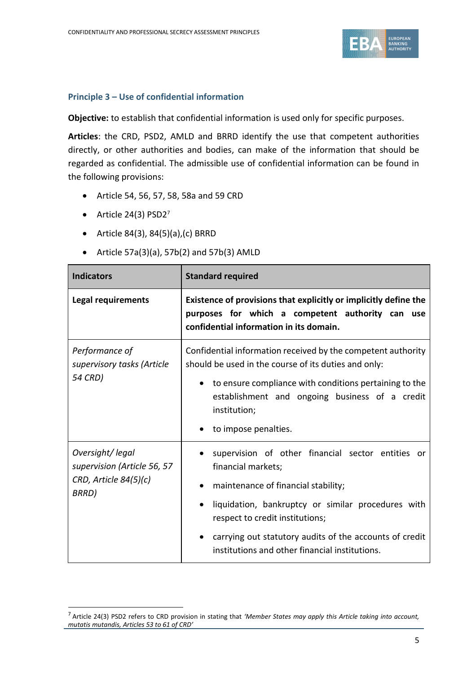

#### **Principle 3 – Use of confidential information**

**Objective:** to establish that confidential information is used only for specific purposes.

**Articles**: the CRD, PSD2, AMLD and BRRD identify the use that competent authorities directly, or other authorities and bodies, can make of the information that should be regarded as confidential. The admissible use of confidential information can be found in the following provisions:

- Article 54, 56, 57, 58, 58a and 59 CRD
- Article 24(3) PSD2<sup>7</sup>
- Article 84(3), 84(5)(a),(c) BRRD
- Article  $57a(3)(a)$ ,  $57b(2)$  and  $57b(3)$  AMLD

| <b>Indicators</b>                                                                     | <b>Standard required</b>                                                                                                                                                                                                                                                                                             |  |
|---------------------------------------------------------------------------------------|----------------------------------------------------------------------------------------------------------------------------------------------------------------------------------------------------------------------------------------------------------------------------------------------------------------------|--|
| Legal requirements                                                                    | Existence of provisions that explicitly or implicitly define the<br>purposes for which a competent authority can use<br>confidential information in its domain.                                                                                                                                                      |  |
| Performance of<br>supervisory tasks (Article<br>54 CRD)                               | Confidential information received by the competent authority<br>should be used in the course of its duties and only:<br>to ensure compliance with conditions pertaining to the<br>establishment and ongoing business of a credit<br>institution;<br>to impose penalties.                                             |  |
| Oversight/legal<br>supervision (Article 56, 57<br>$CRD$ , Article $84(5)(c)$<br>BRRD) | supervision of other financial sector entities or<br>financial markets;<br>maintenance of financial stability;<br>liquidation, bankruptcy or similar procedures with<br>respect to credit institutions;<br>carrying out statutory audits of the accounts of credit<br>institutions and other financial institutions. |  |

<sup>7</sup> Article 24(3) PSD2 refers to CRD provision in stating that *'Member States may apply this Article taking into account, mutatis mutandis, Articles 53 to 61 of CRD'*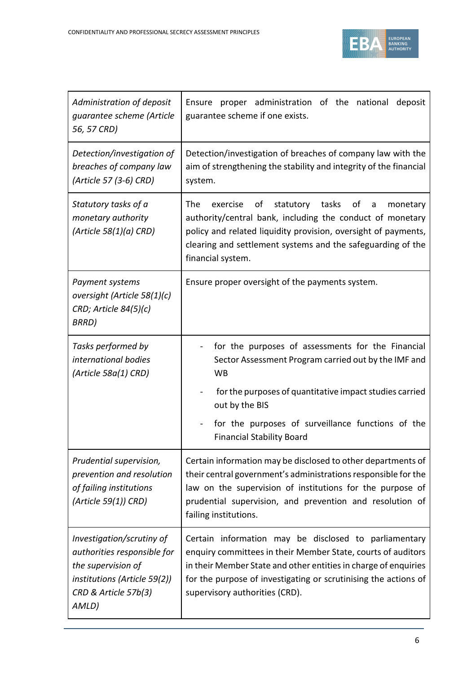

| Administration of deposit<br>guarantee scheme (Article<br>56, 57 CRD)                                                                           | Ensure proper administration of the national<br>deposit<br>guarantee scheme if one exists.                                                                                                                                                                                                    |
|-------------------------------------------------------------------------------------------------------------------------------------------------|-----------------------------------------------------------------------------------------------------------------------------------------------------------------------------------------------------------------------------------------------------------------------------------------------|
| Detection/investigation of<br>breaches of company law<br>(Article 57 (3-6) CRD)                                                                 | Detection/investigation of breaches of company law with the<br>aim of strengthening the stability and integrity of the financial<br>system.                                                                                                                                                   |
| Statutory tasks of a<br>monetary authority<br>(Article 58(1)(a) CRD)                                                                            | The<br>of<br>statutory tasks<br>exercise<br>of<br>a<br>monetary<br>authority/central bank, including the conduct of monetary<br>policy and related liquidity provision, oversight of payments,<br>clearing and settlement systems and the safeguarding of the<br>financial system.            |
| Payment systems<br>oversight (Article 58(1)(c)<br>CRD; Article 84(5)(c)<br>BRRD)                                                                | Ensure proper oversight of the payments system.                                                                                                                                                                                                                                               |
| Tasks performed by<br>international bodies<br>(Article 58a(1) CRD)                                                                              | for the purposes of assessments for the Financial<br>Sector Assessment Program carried out by the IMF and<br><b>WB</b>                                                                                                                                                                        |
|                                                                                                                                                 | for the purposes of quantitative impact studies carried<br>out by the BIS                                                                                                                                                                                                                     |
|                                                                                                                                                 | for the purposes of surveillance functions of the<br><b>Financial Stability Board</b>                                                                                                                                                                                                         |
| Prudential supervision,<br>prevention and resolution<br>of failing institutions<br>(Article 59(1)) CRD)                                         | Certain information may be disclosed to other departments of<br>their central government's administrations responsible for the<br>law on the supervision of institutions for the purpose of<br>prudential supervision, and prevention and resolution of<br>failing institutions.              |
| Investigation/scrutiny of<br>authorities responsible for<br>the supervision of<br>institutions (Article 59(2))<br>CRD & Article 57b(3)<br>AMLD) | Certain information may be disclosed to parliamentary<br>enquiry committees in their Member State, courts of auditors<br>in their Member State and other entities in charge of enquiries<br>for the purpose of investigating or scrutinising the actions of<br>supervisory authorities (CRD). |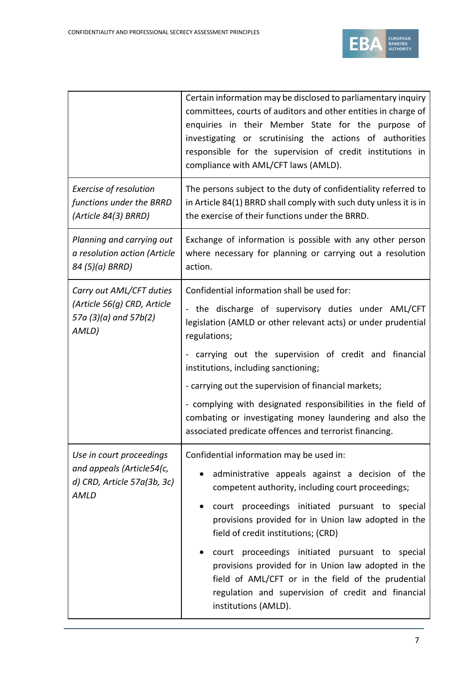

|                                                                                              | Certain information may be disclosed to parliamentary inquiry<br>committees, courts of auditors and other entities in charge of<br>enquiries in their Member State for the purpose of<br>investigating or scrutinising the actions of authorities<br>responsible for the supervision of credit institutions in<br>compliance with AML/CFT laws (AMLD).                                                                                                                                                                                           |  |
|----------------------------------------------------------------------------------------------|--------------------------------------------------------------------------------------------------------------------------------------------------------------------------------------------------------------------------------------------------------------------------------------------------------------------------------------------------------------------------------------------------------------------------------------------------------------------------------------------------------------------------------------------------|--|
| Exercise of resolution<br>functions under the BRRD<br>(Article 84(3) BRRD)                   | The persons subject to the duty of confidentiality referred to<br>in Article 84(1) BRRD shall comply with such duty unless it is in<br>the exercise of their functions under the BRRD.                                                                                                                                                                                                                                                                                                                                                           |  |
| Planning and carrying out<br>a resolution action (Article<br>84 (5)(a) BRRD)                 | Exchange of information is possible with any other person<br>where necessary for planning or carrying out a resolution<br>action.                                                                                                                                                                                                                                                                                                                                                                                                                |  |
| Carry out AML/CFT duties<br>(Article 56(g) CRD, Article<br>57a (3)(a) and 57b(2)<br>AMLD)    | Confidential information shall be used for:<br>- the discharge of supervisory duties under AML/CFT<br>legislation (AMLD or other relevant acts) or under prudential<br>regulations;<br>carrying out the supervision of credit and financial<br>Ξ.<br>institutions, including sanctioning;<br>- carrying out the supervision of financial markets;<br>- complying with designated responsibilities in the field of<br>combating or investigating money laundering and also the<br>associated predicate offences and terrorist financing.          |  |
| Use in court proceedings<br>and appeals (Article54(c,<br>d) CRD, Article 57a(3b, 3c)<br>AMLD | Confidential information may be used in:<br>administrative appeals against a decision of the<br>competent authority, including court proceedings;<br>court proceedings initiated pursuant to special<br>provisions provided for in Union law adopted in the<br>field of credit institutions; (CRD)<br>court proceedings initiated pursuant to special<br>provisions provided for in Union law adopted in the<br>field of AML/CFT or in the field of the prudential<br>regulation and supervision of credit and financial<br>institutions (AMLD). |  |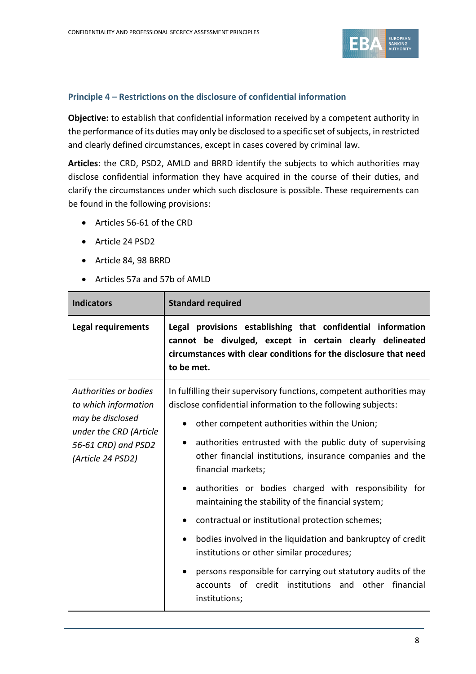

# **Principle 4 – Restrictions on the disclosure of confidential information**

**Objective:** to establish that confidential information received by a competent authority in the performance of its duties may only be disclosed to a specific set of subjects, in restricted and clearly defined circumstances, except in cases covered by criminal law.

**Articles**: the CRD, PSD2, AMLD and BRRD identify the subjects to which authorities may disclose confidential information they have acquired in the course of their duties, and clarify the circumstances under which such disclosure is possible. These requirements can be found in the following provisions:

- Articles 56-61 of the CRD
- Article 24 PSD2
- Article 84, 98 BRRD
- Articles 57a and 57b of AMLD

| <b>Indicators</b>                                                                                                                       | <b>Standard required</b>                                                                                                                                                                                                                                                                                                                                                                                                                                                                                                                                                                                                                                                                                                                                                               |
|-----------------------------------------------------------------------------------------------------------------------------------------|----------------------------------------------------------------------------------------------------------------------------------------------------------------------------------------------------------------------------------------------------------------------------------------------------------------------------------------------------------------------------------------------------------------------------------------------------------------------------------------------------------------------------------------------------------------------------------------------------------------------------------------------------------------------------------------------------------------------------------------------------------------------------------------|
| Legal requirements                                                                                                                      | Legal provisions establishing that confidential information<br>cannot be divulged, except in certain clearly delineated<br>circumstances with clear conditions for the disclosure that need<br>to be met.                                                                                                                                                                                                                                                                                                                                                                                                                                                                                                                                                                              |
| Authorities or bodies<br>to which information<br>may be disclosed<br>under the CRD (Article<br>56-61 CRD) and PSD2<br>(Article 24 PSD2) | In fulfilling their supervisory functions, competent authorities may<br>disclose confidential information to the following subjects:<br>other competent authorities within the Union;<br>authorities entrusted with the public duty of supervising<br>$\bullet$<br>other financial institutions, insurance companies and the<br>financial markets;<br>authorities or bodies charged with responsibility for<br>maintaining the stability of the financial system;<br>contractual or institutional protection schemes;<br>bodies involved in the liquidation and bankruptcy of credit<br>institutions or other similar procedures;<br>persons responsible for carrying out statutory audits of the<br>$\bullet$<br>accounts of credit institutions and other financial<br>institutions; |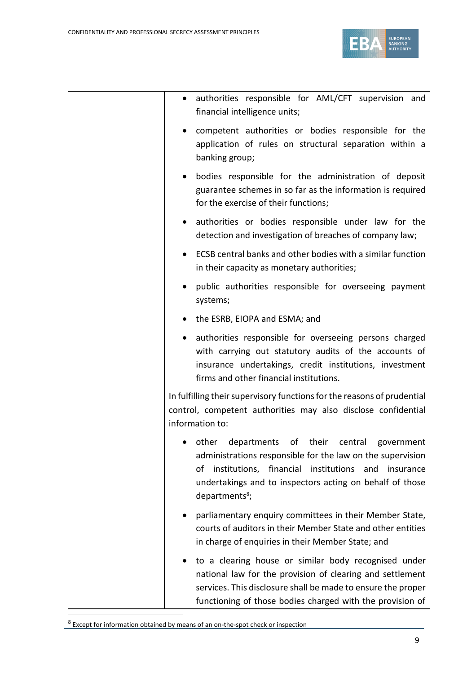

|  | $\bullet$ | authorities responsible for AML/CFT supervision and<br>financial intelligence units;                                                                                                                                                                                          |
|--|-----------|-------------------------------------------------------------------------------------------------------------------------------------------------------------------------------------------------------------------------------------------------------------------------------|
|  | $\bullet$ | competent authorities or bodies responsible for the<br>application of rules on structural separation within a<br>banking group;                                                                                                                                               |
|  | $\bullet$ | bodies responsible for the administration of deposit<br>guarantee schemes in so far as the information is required<br>for the exercise of their functions;                                                                                                                    |
|  | $\bullet$ | authorities or bodies responsible under law for the<br>detection and investigation of breaches of company law;                                                                                                                                                                |
|  | $\bullet$ | ECSB central banks and other bodies with a similar function<br>in their capacity as monetary authorities;                                                                                                                                                                     |
|  | $\bullet$ | public authorities responsible for overseeing payment<br>systems;                                                                                                                                                                                                             |
|  | $\bullet$ | the ESRB, EIOPA and ESMA; and                                                                                                                                                                                                                                                 |
|  | $\bullet$ | authorities responsible for overseeing persons charged<br>with carrying out statutory audits of the accounts of<br>insurance undertakings, credit institutions, investment<br>firms and other financial institutions.                                                         |
|  |           | In fulfilling their supervisory functions for the reasons of prudential<br>control, competent authorities may also disclose confidential<br>information to:                                                                                                                   |
|  |           | other<br>departments<br>of their<br>central<br>government<br>administrations responsible for the law on the supervision<br>institutions, financial institutions and insurance<br>of<br>undertakings and to inspectors acting on behalf of those<br>departments <sup>8</sup> ; |
|  |           | parliamentary enquiry committees in their Member State,<br>courts of auditors in their Member State and other entities<br>in charge of enquiries in their Member State; and                                                                                                   |
|  |           | to a clearing house or similar body recognised under<br>national law for the provision of clearing and settlement<br>services. This disclosure shall be made to ensure the proper<br>functioning of those bodies charged with the provision of                                |

<sup>&</sup>lt;sup>8</sup> Except for information obtained by means of an on-the-spot check or inspection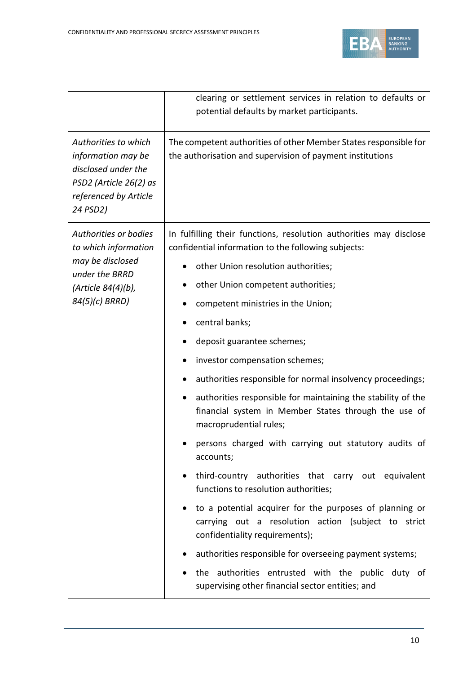

|                                                                                                                                  | clearing or settlement services in relation to defaults or                                                                                       |
|----------------------------------------------------------------------------------------------------------------------------------|--------------------------------------------------------------------------------------------------------------------------------------------------|
|                                                                                                                                  | potential defaults by market participants.                                                                                                       |
| Authorities to which<br>information may be<br>disclosed under the<br>PSD2 (Article 26(2) as<br>referenced by Article<br>24 PSD2) | The competent authorities of other Member States responsible for<br>the authorisation and supervision of payment institutions                    |
| Authorities or bodies<br>to which information                                                                                    | In fulfilling their functions, resolution authorities may disclose<br>confidential information to the following subjects:                        |
| may be disclosed<br>under the BRRD                                                                                               | other Union resolution authorities;<br>$\bullet$                                                                                                 |
| (Article 84(4)(b),                                                                                                               | other Union competent authorities;                                                                                                               |
| 84(5)(c) BRRD)                                                                                                                   | competent ministries in the Union;                                                                                                               |
|                                                                                                                                  | central banks;                                                                                                                                   |
|                                                                                                                                  | deposit guarantee schemes;                                                                                                                       |
|                                                                                                                                  | investor compensation schemes;                                                                                                                   |
|                                                                                                                                  | authorities responsible for normal insolvency proceedings;                                                                                       |
|                                                                                                                                  | authorities responsible for maintaining the stability of the<br>financial system in Member States through the use of<br>macroprudential rules;   |
|                                                                                                                                  | persons charged with carrying out statutory audits of<br>accounts;                                                                               |
|                                                                                                                                  | third-country authorities that carry out equivalent<br>functions to resolution authorities;                                                      |
|                                                                                                                                  | to a potential acquirer for the purposes of planning or<br>carrying out a resolution action (subject to strict<br>confidentiality requirements); |
|                                                                                                                                  | authorities responsible for overseeing payment systems;                                                                                          |
|                                                                                                                                  | the authorities entrusted with the public duty of<br>supervising other financial sector entities; and                                            |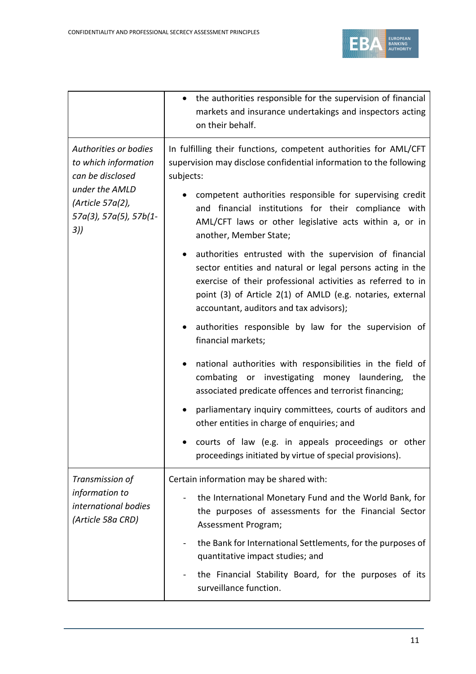

|                                                                                                                                          | the authorities responsible for the supervision of financial<br>$\bullet$<br>markets and insurance undertakings and inspectors acting<br>on their behalf.                                                                                                                                                                                                   |
|------------------------------------------------------------------------------------------------------------------------------------------|-------------------------------------------------------------------------------------------------------------------------------------------------------------------------------------------------------------------------------------------------------------------------------------------------------------------------------------------------------------|
| Authorities or bodies<br>to which information<br>can be disclosed<br>under the AMLD<br>(Article 57a(2),<br>57a(3), 57a(5), 57b(1-<br>3)) | In fulfilling their functions, competent authorities for AML/CFT<br>supervision may disclose confidential information to the following<br>subjects:<br>competent authorities responsible for supervising credit<br>and financial institutions for their compliance with<br>AML/CFT laws or other legislative acts within a, or in<br>another, Member State; |
|                                                                                                                                          | authorities entrusted with the supervision of financial<br>sector entities and natural or legal persons acting in the<br>exercise of their professional activities as referred to in<br>point (3) of Article 2(1) of AMLD (e.g. notaries, external<br>accountant, auditors and tax advisors);                                                               |
|                                                                                                                                          | authorities responsible by law for the supervision of<br>financial markets;                                                                                                                                                                                                                                                                                 |
|                                                                                                                                          | national authorities with responsibilities in the field of<br>combating or investigating money laundering, the<br>associated predicate offences and terrorist financing;                                                                                                                                                                                    |
|                                                                                                                                          | parliamentary inquiry committees, courts of auditors and<br>other entities in charge of enquiries; and                                                                                                                                                                                                                                                      |
|                                                                                                                                          | courts of law (e.g. in appeals proceedings or other<br>proceedings initiated by virtue of special provisions).                                                                                                                                                                                                                                              |
| Transmission of                                                                                                                          | Certain information may be shared with:                                                                                                                                                                                                                                                                                                                     |
| information to<br>international bodies<br>(Article 58a CRD)                                                                              | the International Monetary Fund and the World Bank, for<br>the purposes of assessments for the Financial Sector<br>Assessment Program;                                                                                                                                                                                                                      |
|                                                                                                                                          | the Bank for International Settlements, for the purposes of<br>$\blacksquare$<br>quantitative impact studies; and                                                                                                                                                                                                                                           |
|                                                                                                                                          | the Financial Stability Board, for the purposes of its<br>surveillance function.                                                                                                                                                                                                                                                                            |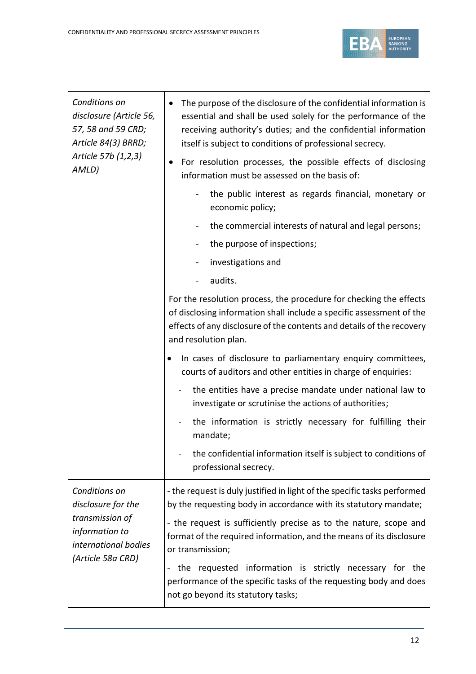

| Conditions on<br>disclosure (Article 56,<br>57, 58 and 59 CRD;<br>Article 84(3) BRRD;<br>Article 57b (1,2,3) | The purpose of the disclosure of the confidential information is<br>essential and shall be used solely for the performance of the<br>receiving authority's duties; and the confidential information<br>itself is subject to conditions of professional secrecy. |
|--------------------------------------------------------------------------------------------------------------|-----------------------------------------------------------------------------------------------------------------------------------------------------------------------------------------------------------------------------------------------------------------|
| AMLD)                                                                                                        | For resolution processes, the possible effects of disclosing<br>$\bullet$<br>information must be assessed on the basis of:                                                                                                                                      |
|                                                                                                              | the public interest as regards financial, monetary or<br>economic policy;                                                                                                                                                                                       |
|                                                                                                              | the commercial interests of natural and legal persons;                                                                                                                                                                                                          |
|                                                                                                              | the purpose of inspections;                                                                                                                                                                                                                                     |
|                                                                                                              | investigations and                                                                                                                                                                                                                                              |
|                                                                                                              | audits.                                                                                                                                                                                                                                                         |
|                                                                                                              | For the resolution process, the procedure for checking the effects<br>of disclosing information shall include a specific assessment of the<br>effects of any disclosure of the contents and details of the recovery<br>and resolution plan.                     |
|                                                                                                              | In cases of disclosure to parliamentary enquiry committees,<br>courts of auditors and other entities in charge of enquiries:                                                                                                                                    |
|                                                                                                              | the entities have a precise mandate under national law to<br>investigate or scrutinise the actions of authorities;                                                                                                                                              |
|                                                                                                              | the information is strictly necessary for fulfilling their<br>mandate;                                                                                                                                                                                          |
|                                                                                                              | the confidential information itself is subject to conditions of<br>professional secrecy.                                                                                                                                                                        |
| Conditions on<br>disclosure for the                                                                          | - the request is duly justified in light of the specific tasks performed<br>by the requesting body in accordance with its statutory mandate;                                                                                                                    |
| transmission of<br>information to<br>international bodies                                                    | - the request is sufficiently precise as to the nature, scope and<br>format of the required information, and the means of its disclosure<br>or transmission;                                                                                                    |
| (Article 58a CRD)                                                                                            | the requested information is strictly necessary for<br>the<br>performance of the specific tasks of the requesting body and does<br>not go beyond its statutory tasks;                                                                                           |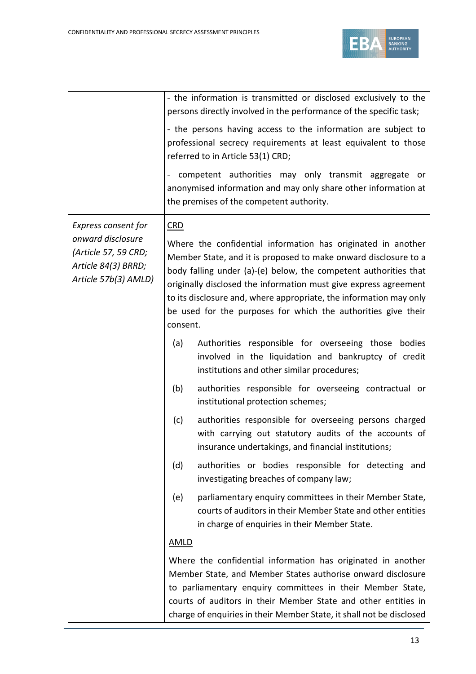

|                                                                                                                 | - the information is transmitted or disclosed exclusively to the<br>persons directly involved in the performance of the specific task;<br>- the persons having access to the information are subject to<br>professional secrecy requirements at least equivalent to those<br>referred to in Article 53(1) CRD;<br>competent authorities may only transmit aggregate or<br>anonymised information and may only share other information at<br>the premises of the competent authority. |
|-----------------------------------------------------------------------------------------------------------------|--------------------------------------------------------------------------------------------------------------------------------------------------------------------------------------------------------------------------------------------------------------------------------------------------------------------------------------------------------------------------------------------------------------------------------------------------------------------------------------|
| Express consent for<br>onward disclosure<br>(Article 57, 59 CRD;<br>Article 84(3) BRRD;<br>Article 57b(3) AMLD) | <b>CRD</b><br>Where the confidential information has originated in another<br>Member State, and it is proposed to make onward disclosure to a<br>body falling under (a)-(e) below, the competent authorities that<br>originally disclosed the information must give express agreement<br>to its disclosure and, where appropriate, the information may only<br>be used for the purposes for which the authorities give their<br>consent.                                             |
|                                                                                                                 | Authorities responsible for overseeing those bodies<br>(a)<br>involved in the liquidation and bankruptcy of credit<br>institutions and other similar procedures;                                                                                                                                                                                                                                                                                                                     |
|                                                                                                                 | (b)<br>authorities responsible for overseeing contractual or<br>institutional protection schemes;                                                                                                                                                                                                                                                                                                                                                                                    |
|                                                                                                                 | (c)<br>authorities responsible for overseeing persons charged<br>with carrying out statutory audits of the accounts of<br>insurance undertakings, and financial institutions;                                                                                                                                                                                                                                                                                                        |
|                                                                                                                 | authorities or bodies responsible for detecting<br>(d)<br>and<br>investigating breaches of company law;                                                                                                                                                                                                                                                                                                                                                                              |
|                                                                                                                 | (e)<br>parliamentary enquiry committees in their Member State,<br>courts of auditors in their Member State and other entities<br>in charge of enquiries in their Member State.                                                                                                                                                                                                                                                                                                       |
|                                                                                                                 | <b>AMLD</b>                                                                                                                                                                                                                                                                                                                                                                                                                                                                          |
|                                                                                                                 | Where the confidential information has originated in another<br>Member State, and Member States authorise onward disclosure<br>to parliamentary enquiry committees in their Member State,<br>courts of auditors in their Member State and other entities in<br>charge of enquiries in their Member State, it shall not be disclosed                                                                                                                                                  |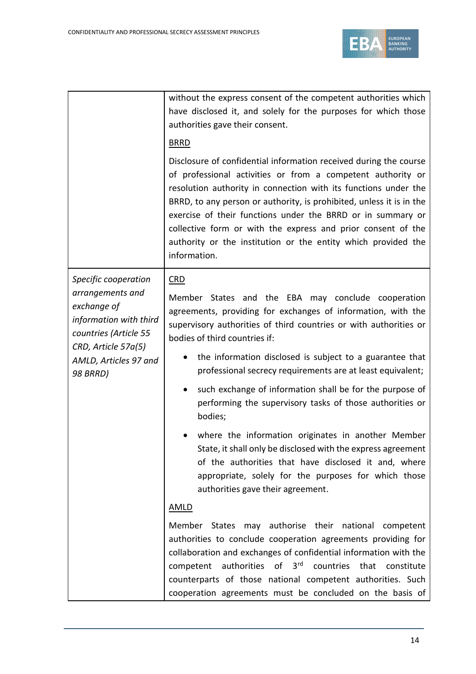

|                                                                                                                                                                               | without the express consent of the competent authorities which<br>have disclosed it, and solely for the purposes for which those<br>authorities gave their consent.<br><b>BRRD</b><br>Disclosure of confidential information received during the course<br>of professional activities or from a competent authority or<br>resolution authority in connection with its functions under the<br>BRRD, to any person or authority, is prohibited, unless it is in the<br>exercise of their functions under the BRRD or in summary or<br>collective form or with the express and prior consent of the<br>authority or the institution or the entity which provided the<br>information.                                                                                              |
|-------------------------------------------------------------------------------------------------------------------------------------------------------------------------------|--------------------------------------------------------------------------------------------------------------------------------------------------------------------------------------------------------------------------------------------------------------------------------------------------------------------------------------------------------------------------------------------------------------------------------------------------------------------------------------------------------------------------------------------------------------------------------------------------------------------------------------------------------------------------------------------------------------------------------------------------------------------------------|
| Specific cooperation<br>arrangements and<br>exchange of<br>information with third<br>countries (Article 55<br>CRD, Article 57a(5)<br>AMLD, Articles 97 and<br><b>98 BRRD)</b> | <b>CRD</b><br>Member States and the EBA may conclude cooperation<br>agreements, providing for exchanges of information, with the<br>supervisory authorities of third countries or with authorities or<br>bodies of third countries if:<br>the information disclosed is subject to a guarantee that<br>professional secrecy requirements are at least equivalent;<br>such exchange of information shall be for the purpose of<br>performing the supervisory tasks of those authorities or<br>bodies;<br>where the information originates in another Member<br>State, it shall only be disclosed with the express agreement<br>of the authorities that have disclosed it and, where<br>appropriate, solely for the purposes for which those<br>authorities gave their agreement. |
|                                                                                                                                                                               | <b>AMLD</b><br>Member States may authorise their national competent<br>authorities to conclude cooperation agreements providing for<br>collaboration and exchanges of confidential information with the<br>competent authorities of 3rd countries that constitute<br>counterparts of those national competent authorities. Such<br>cooperation agreements must be concluded on the basis of                                                                                                                                                                                                                                                                                                                                                                                    |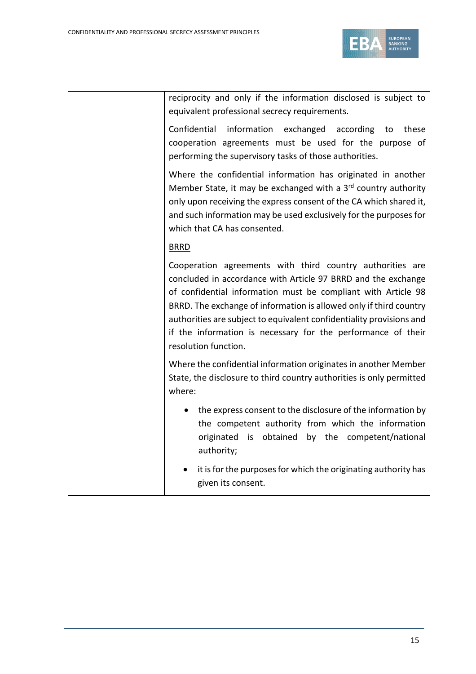

reciprocity and only if the information disclosed is subject to equivalent professional secrecy requirements.

Confidential information exchanged according to these cooperation agreements must be used for the purpose of performing the supervisory tasks of those authorities.

Where the confidential information has originated in another Member State, it may be exchanged with a  $3<sup>rd</sup>$  country authority only upon receiving the express consent of the CA which shared it, and such information may be used exclusively for the purposes for which that CA has consented.

# BRRD

Cooperation agreements with third country authorities are concluded in accordance with Article 97 BRRD and the exchange of confidential information must be compliant with Article 98 BRRD. The exchange of information is allowed only if third country authorities are subject to equivalent confidentiality provisions and if the information is necessary for the performance of their resolution function.

Where the confidential information originates in another Member State, the disclosure to third country authorities is only permitted where:

- the express consent to the disclosure of the information by the competent authority from which the information originated is obtained by the competent/national authority;
- it is for the purposes for which the originating authority has given its consent.